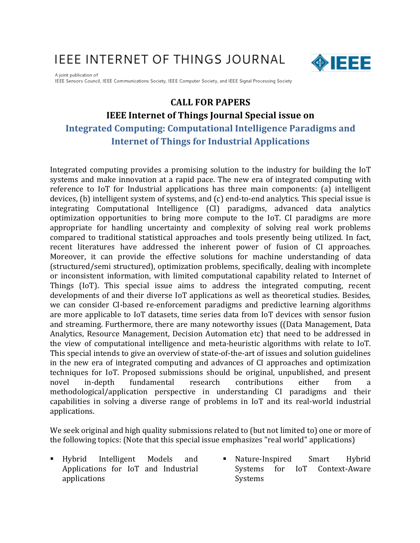# **IEEE INTERNET OF THINGS JOURNAL**



A joint publication of IEEE Sensors Council, IEEE Communications Society, IEEE Computer Society, and IEEE Signal Processing Society

## **CALL FOR PAPERS**

## **IEEE Internet of Things Journal Special issue on**

# **Integrated Computing: Computational Intelligence Paradigms and Internet of Things for Industrial Applications**

Integrated computing provides a promising solution to the industry for building the IoT systems and make innovation at a rapid pace. The new era of integrated computing with reference to IoT for Industrial applications has three main components: (a) intelligent devices,  $(b)$  intelligent system of systems, and  $(c)$  end-to-end analytics. This special issue is integrating Computational Intelligence (CI) paradigms, advanced data analytics optimization opportunities to bring more compute to the IoT. CI paradigms are more appropriate for handling uncertainty and complexity of solving real work problems compared to traditional statistical approaches and tools presently being utilized. In fact, recent literatures have addressed the inherent power of fusion of CI approaches. Moreover, it can provide the effective solutions for machine understanding of data (structured/semi structured), optimization problems, specifically, dealing with incomplete or inconsistent information, with limited computational capability related to Internet of Things (IoT). This special issue aims to address the integrated computing, recent developments of and their diverse IoT applications as well as theoretical studies. Besides, we can consider CI-based re-enforcement paradigms and predictive learning algorithms are more applicable to IoT datasets, time series data from IoT devices with sensor fusion and streaming. Furthermore, there are many noteworthy issues ((Data Management, Data Analytics, Resource Management, Decision Automation etc) that need to be addressed in the view of computational intelligence and meta-heuristic algorithms with relate to IoT. This special intends to give an overview of state-of-the-art of issues and solution guidelines in the new era of integrated computing and advances of CI approaches and optimization techniques for IoT. Proposed submissions should be original, unpublished, and present novel in-depth fundamental research contributions either from methodological/application perspective in understanding CI paradigms and their capabilities in solving a diverse range of problems in IoT and its real-world industrial applications.

We seek original and high quality submissions related to (but not limited to) one or more of the following topics: (Note that this special issue emphasizes "real world" applications)

- § Hybrid Intelligent Models and Applications for IoT and Industrial applications
- Nature-Inspired Smart Hybrid Systems for IoT Context-Aware Systems